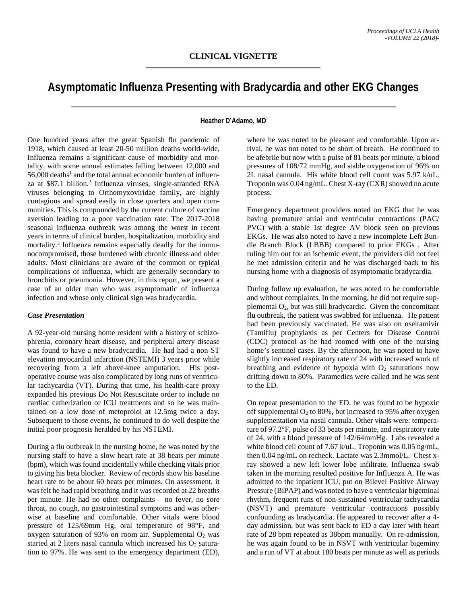# **Asymptomatic Influenza Presenting with Bradycardia and other EKG Changes**

### **Heather D'Adamo, MD**

One hundred years after the great Spanish flu pandemic of 1918, which caused at least 20-50 million deaths world-wide, Influenza remains a significant cause of morbidity and mortality, with some annual estimates falling between 12,000 and  $56,000$  deaths<sup>1</sup> and the total annual economic burden of influenza at \$87.1 billion.2 Influenza viruses, single-stranded RNA viruses belonging to Orthomyxoviridae family, are highly contagious and spread easily in close quarters and open communities. This is compounded by the current culture of vaccine aversion leading to a poor vaccination rate. The 2017-2018 seasonal Influenza outbreak was among the worst in recent years in terms of clinical burden, hospitalization, morbidity and mortality.<sup>3</sup> Influenza remains especially deadly for the immunocompromised, those burdened with chronic illness and older adults. Most clinicians are aware of the common or typical complications of influenza, which are generally secondary to bronchitis or pneumonia. However, in this report, we present a case of an older man who was asymptomatic of influenza infection and whose only clinical sign was bradycardia.

#### *Case Presentation*

A 92-year-old nursing home resident with a history of schizophrenia, coronary heart disease, and peripheral artery disease was found to have a new bradycardia. He had had a non-ST elevation myocardial infarction (NSTEMI) 3 years prior while recovering from a left above-knee amputation. His postoperative course was also complicated by long runs of ventricular tachycardia (VT). During that time, his health-care proxy expanded his previous Do Not Resuscitate order to include no cardiac catherization or ICU treatments and so he was maintained on a low dose of metoprolol at 12.5mg twice a day. Subsequent to those events, he continued to do well despite the initial poor prognosis heralded by his NSTEMI.

During a flu outbreak in the nursing home, he was noted by the nursing staff to have a slow heart rate at 38 beats per minute (bpm), which was found incidentally while checking vitals prior to giving his beta blocker. Review of records show his baseline heart rate to be about 60 beats per minutes. On assessment, it was felt he had rapid breathing and it was recorded at 22 breaths per minute. He had no other complaints – no fever, no sore throat, no cough, no gastrointestinal symptoms and was otherwise at baseline and comfortable. Other vitals were blood pressure of 125/69mm Hg, oral temperature of 98°F, and oxygen saturation of 93% on room air. Supplemental  $O<sub>2</sub>$  was started at 2 liters nasal cannula which increased his  $O_2$  saturation to 97%. He was sent to the emergency department (ED),

where he was noted to be pleasant and comfortable. Upon arrival, he was not noted to be short of breath. He continued to be afebrile but now with a pulse of 81 beats per minute, a blood pressures of 108/72 mmHg, and stable oxygenation of 96% on 2L nasal cannula. His white blood cell count was 5.97 k/uL. Troponin was 0.04 ng/mL. Chest X-ray (CXR) showed no acute process.

Emergency department providers noted on EKG that he was having premature atrial and ventricular contractions (PAC/ PVC) with a stable 1st degree AV block seen on previous EKGs. He was also noted to have a new incomplete Left Bundle Branch Block (LBBB) compared to prior EKGs . After ruling him out for an ischemic event, the providers did not feel he met admission criteria and he was discharged back to his nursing home with a diagnosis of asymptomatic bradycardia.

During follow up evaluation, he was noted to be comfortable and without complaints. In the morning, he did not require supplemental  $O_2$ , but was still bradycardic. Given the concomitant flu outbreak, the patient was swabbed for influenza. He patient had been previously vaccinated. He was also on oseltamivir (Tamiflu) prophylaxis as per Centers for Disease Control (CDC) protocol as he had roomed with one of the nursing home's sentinel cases. By the afternoon, he was noted to have slightly increased respiratory rate of 24 with increased work of breathing and evidence of hypoxia with  $O<sub>2</sub>$  saturations now drifting down to 80%. Paramedics were called and he was sent to the ED.

On repeat presentation to the ED, he was found to be hypoxic off supplemental  $O_2$  to 80%, but increased to 95% after oxygen supplementation via nasal cannula. Other vitals were: temperature of 97.2°F, pulse of 33 beats per minute, and respiratory rate of 24, with a blood pressure of 142/64mmHg. Labs revealed a white blood cell count of 7.67 k/uL. Troponin was 0.05 ng/mL, then 0.04 ng/mL on recheck. Lactate was 2.3mmol/L. Chest xray showed a new left lower lobe infiltrate. Influenza swab taken in the morning resulted positive for Influenza A. He was admitted to the inpatient ICU, put on Bilevel Positive Airway Pressure (BiPAP) and was noted to have a ventricular bigeminal rhythm, frequent runs of non-sustained ventricular tachycardia (NSVT) and premature ventricular contractions possibly confounding as bradycardia. He appeared to recover after a 4 day admission, but was sent back to ED a day later with heart rate of 28 bpm repeated as 38bpm manually. On re-admission, he was again found to be in NSVT with ventricular bigeminy and a run of VT at about 180 beats per minute as well as periods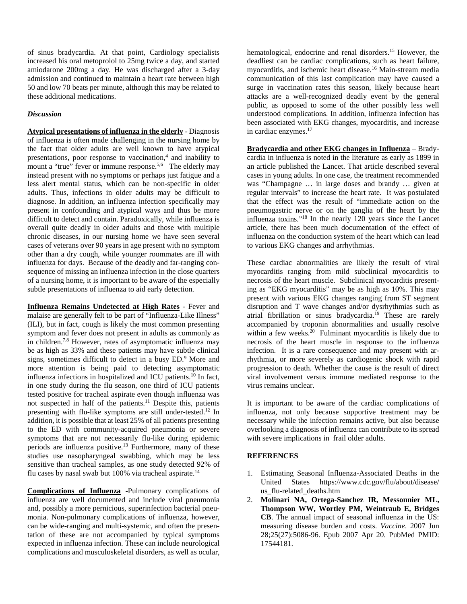of sinus bradycardia. At that point, Cardiology specialists increased his oral metoprolol to 25mg twice a day, and started amiodarone 200mg a day. He was discharged after a 3-day admission and continued to maintain a heart rate between high 50 and low 70 beats per minute, although this may be related to these additional medications.

## *Discussion*

**Atypical presentations of influenza in the elderly** - Diagnosis of influenza is often made challenging in the nursing home by the fact that older adults are well known to have atypical presentations, poor response to vaccination,<sup>4</sup> and inability to mount a "true" fever or immune response.<sup>5,6</sup> The elderly may instead present with no symptoms or perhaps just fatigue and a less alert mental status, which can be non-specific in older adults. Thus, infections in older adults may be difficult to diagnose. In addition, an influenza infection specifically may present in confounding and atypical ways and thus be more difficult to detect and contain. Paradoxically, while influenza is overall quite deadly in older adults and those with multiple chronic diseases, in our nursing home we have seen several cases of veterans over 90 years in age present with no symptom other than a dry cough, while younger roommates are ill with influenza for days. Because of the deadly and far-ranging consequence of missing an influenza infection in the close quarters of a nursing home, it is important to be aware of the especially subtle presentations of influenza to aid early detection.

**Influenza Remains Undetected at High Rates** - Fever and malaise are generally felt to be part of "Influenza-Like Illness" (ILI), but in fact, cough is likely the most common presenting symptom and fever does not present in adults as commonly as in children.7,8 However, rates of asymptomatic influenza may be as high as 33% and these patients may have subtle clinical signs, sometimes difficult to detect in a busy ED.9 More and more attention is being paid to detecting asymptomatic influenza infections in hospitalized and ICU patients.10 In fact, in one study during the flu season, one third of ICU patients tested positive for tracheal aspirate even though influenza was not suspected in half of the patients.<sup>11</sup> Despite this, patients presenting with flu-like symptoms are still under-tested.12 In addition, it is possible that at least 25% of all patients presenting to the ED with community-acquired pneumonia or severe symptoms that are not necessarily flu-like during epidemic periods are influenza positive.13 Furthermore, many of these studies use nasopharyngeal swabbing, which may be less sensitive than tracheal samples, as one study detected 92% of flu cases by nasal swab but  $100\%$  via tracheal aspirate.<sup>14</sup>

**Complications of Influenza** -Pulmonary complications of influenza are well documented and include viral pneumonia and, possibly a more pernicious, superinfection bacterial pneumonia. Non-pulmonary complications of influenza, however, can be wide-ranging and multi-systemic, and often the presentation of these are not accompanied by typical symptoms expected in influenza infection. These can include neurological complications and musculoskeletal disorders, as well as ocular,

hematological, endocrine and renal disorders.15 However, the deadliest can be cardiac complications, such as heart failure, myocarditis, and ischemic heart disease.16 Main-stream media communication of this last complication may have caused a surge in vaccination rates this season, likely because heart attacks are a well-recognized deadly event by the general public, as opposed to some of the other possibly less well understood complications. In addition, influenza infection has been associated with EKG changes, myocarditis, and increase in cardiac enzymes. 17

**Bradycardia and other EKG changes in Influenza** – Bradycardia in influenza is noted in the literature as early as 1899 in an article published the Lancet. That article described several cases in young adults. In one case, the treatment recommended was "Champagne … in large doses and brandy … given at regular intervals" to increase the heart rate. It was postulated that the effect was the result of "immediate action on the pneumogastric nerve or on the ganglia of the heart by the influenza toxins."18 In the nearly 120 years since the Lancet article, there has been much documentation of the effect of influenza on the conduction system of the heart which can lead to various EKG changes and arrhythmias.

These cardiac abnormalities are likely the result of viral myocarditis ranging from mild subclinical myocarditis to necrosis of the heart muscle. Subclinical myocarditis presenting as "EKG myocarditis" may be as high as 10%. This may present with various EKG changes ranging from ST segment disruption and T wave changes and/or dysrhythmias such as atrial fibrillation or sinus bradycardia.<sup>19</sup> These are rarely accompanied by troponin abnormalities and usually resolve within a few weeks.<sup>20</sup> Fulminant myocarditis is likely due to necrosis of the heart muscle in response to the influenza infection. It is a rare consequence and may present with arrhythmia, or more severely as cardiogenic shock with rapid progression to death. Whether the cause is the result of direct viral involvement versus immune mediated response to the virus remains unclear.

It is important to be aware of the cardiac complications of influenza, not only because supportive treatment may be necessary while the infection remains active, but also because overlooking a diagnosis of influenza can contribute to its spread with severe implications in frail older adults.

## **REFERENCES**

- 1. Estimating Seasonal Influenza-Associated Deaths in the United States https://www.cdc.gov/flu/about/disease/ us\_flu-related\_deaths.htm
- 2. **Molinari NA, Ortega-Sanchez IR, Messonnier ML, Thompson WW, Wortley PM, Weintraub E, Bridges CB**. The annual impact of seasonal influenza in the US: measuring disease burden and costs. *Vaccine*. 2007 Jun 28;25(27):5086-96. Epub 2007 Apr 20. PubMed PMID: 17544181.